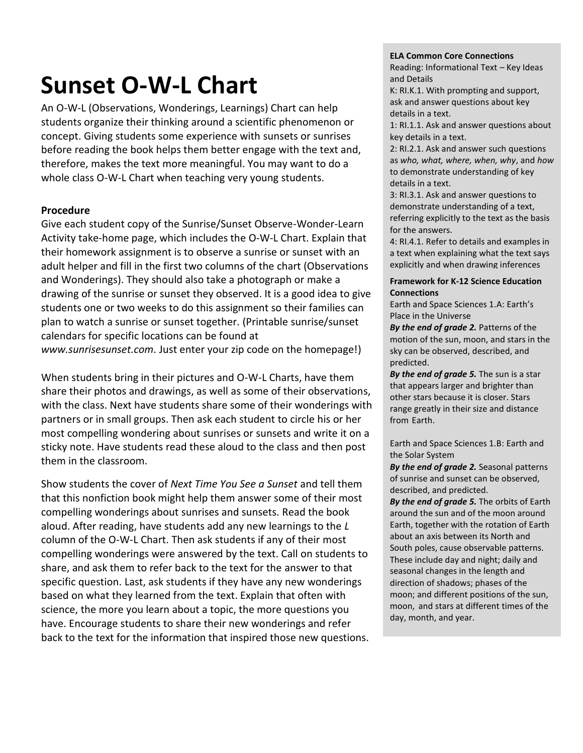# **Sunset O-W-L Chart**

An O-W-L (Observations, Wonderings, Learnings) Chart can help students organize their thinking around a scientific phenomenon or concept. Giving students some experience with sunsets or sunrises before reading the book helps them better engage with the text and, therefore, makes the text more meaningful. You may want to do a whole class O-W-L Chart when teaching very young students.

### **Procedure**

Give each student copy of the Sunrise/Sunset Observe-Wonder-Learn Activity take-home page, which includes the O-W-L Chart. Explain that their homework assignment is to observe a sunrise or sunset with an adult helper and fill in the first two columns of the chart (Observations and Wonderings). They should also take a photograph or make a drawing of the sunrise or sunset they observed. It is a good idea to give students one or two weeks to do this assignment so their families can plan to watch a sunrise or sunset together. (Printable sunrise/sunset calendars for specific locations can be found at *www.sunrisesunset.com*. Just enter your zip code on the homepage!)

When students bring in their pictures and O-W-L Charts, have them share their photos and drawings, as well as some of their observations, with the class. Next have students share some of their wonderings with partners or in small groups. Then ask each student to circle his or her most compelling wondering about sunrises or sunsets and write it on a sticky note. Have students read these aloud to the class and then post them in the classroom.

Show students the cover of *Next Time You See a Sunset* and tell them that this nonfiction book might help them answer some of their most compelling wonderings about sunrises and sunsets. Read the book aloud. After reading, have students add any new learnings to the *L* column of the O-W-L Chart. Then ask students if any of their most compelling wonderings were answered by the text. Call on students to share, and ask them to refer back to the text for the answer to that specific question. Last, ask students if they have any new wonderings based on what they learned from the text. Explain that often with science, the more you learn about a topic, the more questions you have. Encourage students to share their new wonderings and refer back to the text for the information that inspired those new questions.

#### **ELA Common Core Connections**

Reading: Informational Text – Key Ideas and Details

K: RI.K.1. With prompting and support, ask and answer questions about key details in a text.

1: RI.1.1. Ask and answer questions about key details in a text.

2: RI.2.1. Ask and answer such questions as *who, what, where, when, why*, and *how* to demonstrate understanding of key details in a text.

3: RI.3.1. Ask and answer questions to demonstrate understanding of a text, referring explicitly to the text as the basis for the answers.

4: RI.4.1. Refer to details and examples in a text when explaining what the text says explicitly and when drawing inferences

### **Framework for K-12 Science Education** 5: RI.5.1. Quote accurately from a text **Connections**

**Earth and Space Sciences 1.A: Earth's** Place in the Universe<br>Place in the Universe

*By the end of grade 2.* Patterns of the motion of the sun, moon, and stars in the sky can be observed, described, and predicted.

*By the end of grade 5.* The sun is a star that appears larger and brighter than other stars because it is closer. Stars range greatly in their size and distance from Earth.

Earth and Space Sciences 1.B: Earth and the Solar System

*By the end of grade 2.* Seasonal patterns of sunrise and sunset can be observed, described, and predicted.

*By the end of grade 5.* The orbits of Earth around the sun and of the moon around Earth, together with the rotation of Earth about an axis between its North and South poles, cause observable patterns. These include day and night; daily and seasonal changes in the length and direction of shadows; phases of the moon; and different positions of the sun, moon, and stars at different times of the day, month, and year.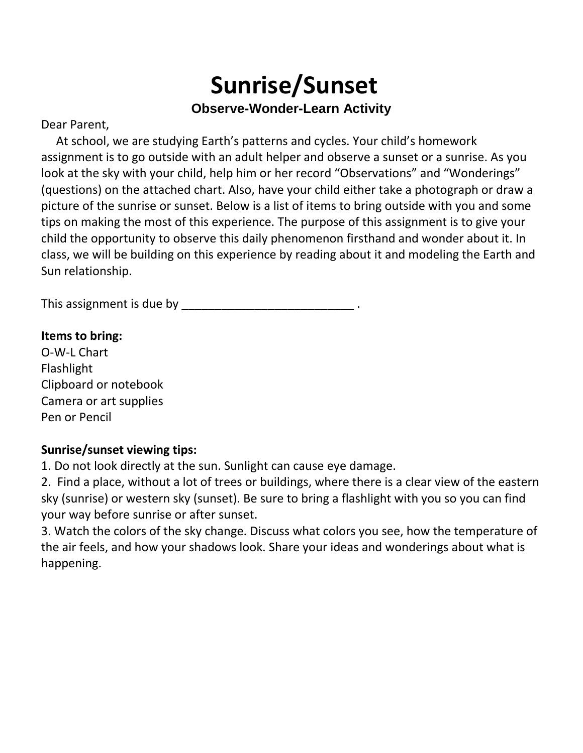# **Sunrise/Sunset Observe-Wonder-Learn Activity**

### Dear Parent,

 At school, we are studying Earth's patterns and cycles. Your child's homework assignment is to go outside with an adult helper and observe a sunset or a sunrise. As you look at the sky with your child, help him or her record "Observations" and "Wonderings" (questions) on the attached chart. Also, have your child either take a photograph or draw a picture of the sunrise or sunset. Below is a list of items to bring outside with you and some tips on making the most of this experience. The purpose of this assignment is to give your child the opportunity to observe this daily phenomenon firsthand and wonder about it. In class, we will be building on this experience by reading about it and modeling the Earth and Sun relationship.

This assignment is due by \_\_\_\_\_\_\_\_\_\_\_\_\_\_\_\_\_\_\_\_\_\_\_\_\_\_ .

### **Items to bring:**

O-W-L Chart Flashlight Clipboard or notebook Camera or art supplies Pen or Pencil

## **Sunrise/sunset viewing tips:**

1. Do not look directly at the sun. Sunlight can cause eye damage.

2. Find a place, without a lot of trees or buildings, where there is a clear view of the eastern sky (sunrise) or western sky (sunset). Be sure to bring a flashlight with you so you can find your way before sunrise or after sunset.

3. Watch the colors of the sky change. Discuss what colors you see, how the temperature of the air feels, and how your shadows look. Share your ideas and wonderings about what is happening.